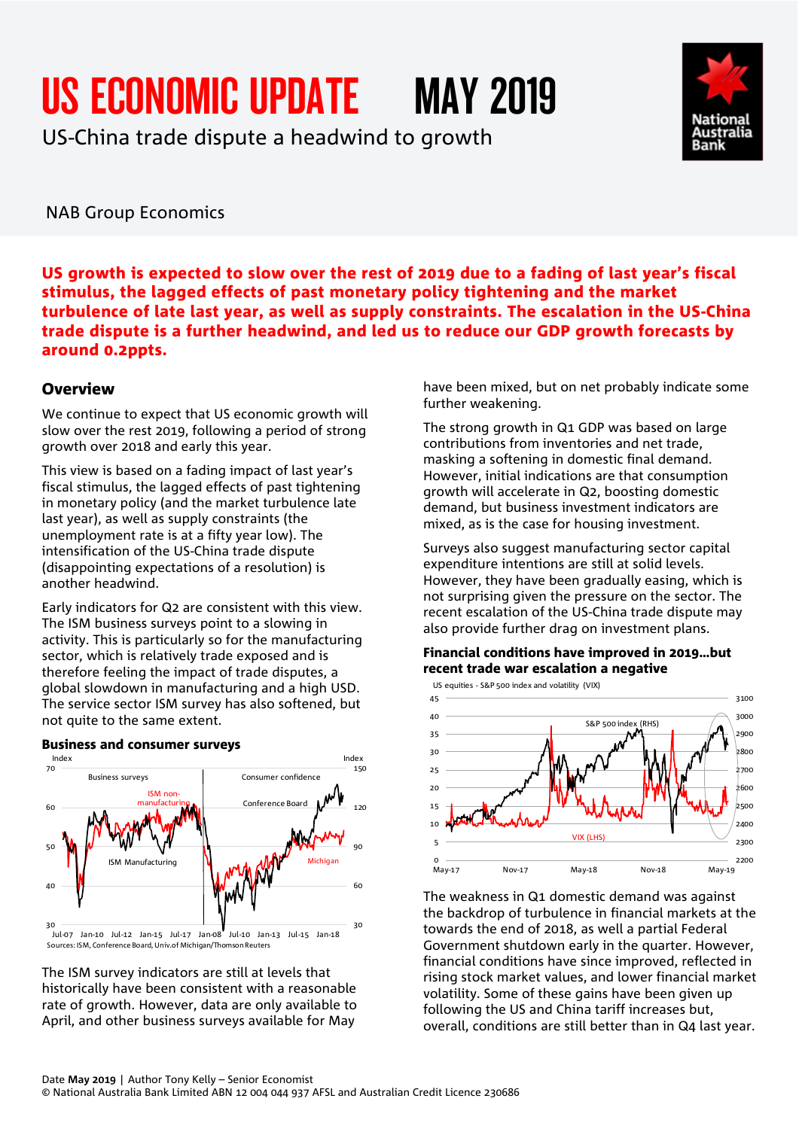# US ECONOMIC UPDATE MAY 2019

US-China trade dispute a headwind to growth



NAB Group Economics

US growth is expected to slow over the rest of 2019 due to a fading of last year's fiscal stimulus, the lagged effects of past monetary policy tightening and the market turbulence of late last year, as well as supply constraints. The escalation in the US-China trade dispute is a further headwind, and led us to reduce our GDP growth forecasts by around 0.2ppts.

#### **Overview**

We continue to expect that US economic growth will slow over the rest 2019, following a period of strong growth over 2018 and early this year.

This view is based on a fading impact of last year's fiscal stimulus, the lagged effects of past tightening in monetary policy (and the market turbulence late last year), as well as supply constraints (the unemployment rate is at a fifty year low). The intensification of the US-China trade dispute (disappointing expectations of a resolution) is another headwind.

Early indicators for Q2 are consistent with this view. The ISM business surveys point to a slowing in activity. This is particularly so for the manufacturing sector, which is relatively trade exposed and is therefore feeling the impact of trade disputes, a global slowdown in manufacturing and a high USD. The service sector ISM survey has also softened, but not quite to the same extent.

Business and consumer surveys

#### 30 60 90  $120$ 150 30 40 50 60 70 Jul-07 Jan-10 Jul-12 Jan-15 Jul-17 Jan-08 Jul-10 Jan-13 Jul-15 Jan-18 Conference Board ISM nonmanufacturing Index Index Michigan Rusiness surveys **Consumer confidence** ISM Manufacturing Sources: ISM, Conference Board, Univ.of Michigan/Thomson Reuters

The ISM survey indicators are still at levels that historically have been consistent with a reasonable rate of growth. However, data are only available to April, and other business surveys available for May

have been mixed, but on net probably indicate some further weakening.

The strong growth in Q1 GDP was based on large contributions from inventories and net trade, masking a softening in domestic final demand. However, initial indications are that consumption growth will accelerate in Q2, boosting domestic demand, but business investment indicators are mixed, as is the case for housing investment.

Surveys also suggest manufacturing sector capital expenditure intentions are still at solid levels. However, they have been gradually easing, which is not surprising given the pressure on the sector. The recent escalation of the US-China trade dispute may also provide further drag on investment plans.

#### Financial conditions have improved in 2019…but recent trade war escalation a negative



The weakness in Q1 domestic demand was against the backdrop of turbulence in financial markets at the towards the end of 2018, as well a partial Federal Government shutdown early in the quarter. However, financial conditions have since improved, reflected in rising stock market values, and lower financial market volatility. Some of these gains have been given up following the US and China tariff increases but, overall, conditions are still better than in Q4 last year.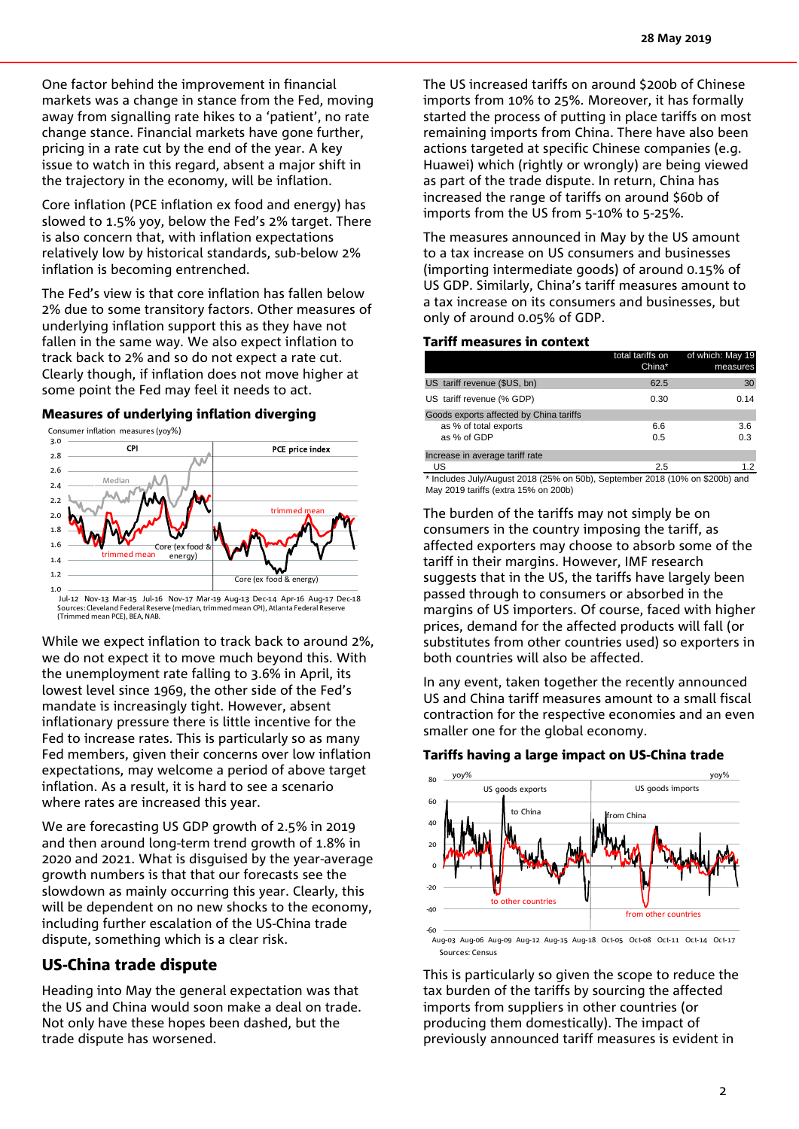One factor behind the improvement in financial markets was a change in stance from the Fed, moving away from signalling rate hikes to a 'patient', no rate change stance. Financial markets have gone further, pricing in a rate cut by the end of the year. A key issue to watch in this regard, absent a major shift in the trajectory in the economy, will be inflation.

Core inflation (PCE inflation ex food and energy) has slowed to 1.5% yoy, below the Fed's 2% target. There is also concern that, with inflation expectations relatively low by historical standards, sub-below 2% inflation is becoming entrenched.

The Fed's view is that core inflation has fallen below 2% due to some transitory factors. Other measures of underlying inflation support this as they have not fallen in the same way. We also expect inflation to track back to 2% and so do not expect a rate cut. Clearly though, if inflation does not move higher at some point the Fed may feel it needs to act.

#### Measures of underlying inflation diverging



Jul-12 Nov-13 Mar-15 Jul-16 Nov-17 Mar-19 Aug-13 Dec-14 Apr-16 Aug-17 Dec-18 Sources: Cleveland Federal Reserve (median, trimmed mean CPI), Atlanta Federal Reserve (Trimmed mean PCE), BEA, NAB.

While we expect inflation to track back to around 2%, we do not expect it to move much beyond this. With the unemployment rate falling to 3.6% in April, its lowest level since 1969, the other side of the Fed's mandate is increasingly tight. However, absent inflationary pressure there is little incentive for the Fed to increase rates. This is particularly so as many Fed members, given their concerns over low inflation expectations, may welcome a period of above target inflation. As a result, it is hard to see a scenario where rates are increased this year.

We are forecasting US GDP growth of 2.5% in 2019 and then around long-term trend growth of 1.8% in 2020 and 2021. What is disguised by the year-average growth numbers is that that our forecasts see the slowdown as mainly occurring this year. Clearly, this will be dependent on no new shocks to the economy, including further escalation of the US-China trade dispute, something which is a clear risk.

#### US-China trade dispute

Heading into May the general expectation was that the US and China would soon make a deal on trade. Not only have these hopes been dashed, but the trade dispute has worsened.

The US increased tariffs on around \$200b of Chinese imports from 10% to 25%. Moreover, it has formally started the process of putting in place tariffs on most remaining imports from China. There have also been actions targeted at specific Chinese companies (e.g. Huawei) which (rightly or wrongly) are being viewed as part of the trade dispute. In return, China has increased the range of tariffs on around \$60b of imports from the US from 5-10% to 5-25%.

The measures announced in May by the US amount to a tax increase on US consumers and businesses (importing intermediate goods) of around 0.15% of US GDP. Similarly, China's tariff measures amount to a tax increase on its consumers and businesses, but only of around 0.05% of GDP.

#### Tariff measures in context

|                                         | total tariffs on<br>China* | of which: May 19<br>measures |
|-----------------------------------------|----------------------------|------------------------------|
| US tariff revenue (\$US, bn)            | 62.5                       | 30                           |
| US tariff revenue (% GDP)               | 0.30                       | 0.14                         |
| Goods exports affected by China tariffs |                            |                              |
| as % of total exports                   | 6.6                        | 3.6                          |
| as % of GDP                             | 0.5                        | 0.3                          |
| Increase in average tariff rate         |                            |                              |
| US                                      | 2.5                        | 12                           |

\* Includes July/August 2018 (25% on 50b), September 2018 (10% on \$200b) and May 2019 tariffs (extra 15% on 200b)

The burden of the tariffs may not simply be on consumers in the country imposing the tariff, as affected exporters may choose to absorb some of the tariff in their margins. However, IMF research suggests that in the US, the tariffs have largely been passed through to consumers or absorbed in the margins of US importers. Of course, faced with higher prices, demand for the affected products will fall (or substitutes from other countries used) so exporters in both countries will also be affected.

In any event, taken together the recently announced US and China tariff measures amount to a small fiscal contraction for the respective economies and an even smaller one for the global economy.

#### Tariffs having a large impact on US-China trade



Aug-03 Aug-06 Aug-09 Aug-12 Aug-15 Aug-18 Oct-05 Oct-08 Oct-11 Oct-14 Oct-17 Sources: Census

This is particularly so given the scope to reduce the tax burden of the tariffs by sourcing the affected imports from suppliers in other countries (or producing them domestically). The impact of previously announced tariff measures is evident in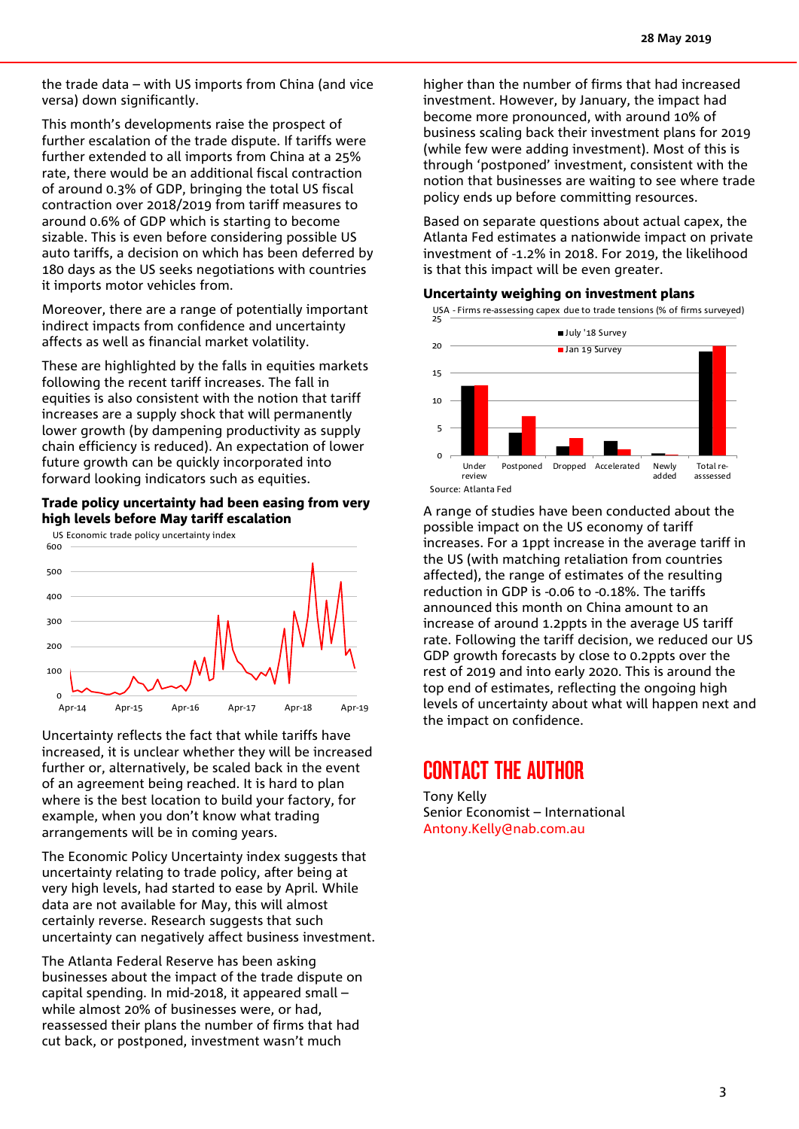the trade data – with US imports from China (and vice versa) down significantly.

This month's developments raise the prospect of further escalation of the trade dispute. If tariffs were further extended to all imports from China at a 25% rate, there would be an additional fiscal contraction of around 0.3% of GDP, bringing the total US fiscal contraction over 2018/2019 from tariff measures to around 0.6% of GDP which is starting to become sizable. This is even before considering possible US auto tariffs, a decision on which has been deferred by 180 days as the US seeks negotiations with countries it imports motor vehicles from.

Moreover, there are a range of potentially important indirect impacts from confidence and uncertainty affects as well as financial market volatility.

These are highlighted by the falls in equities markets following the recent tariff increases. The fall in equities is also consistent with the notion that tariff increases are a supply shock that will permanently lower growth (by dampening productivity as supply chain efficiency is reduced). An expectation of lower future growth can be quickly incorporated into forward looking indicators such as equities.

#### Trade policy uncertainty had been easing from very high levels before May tariff escalation



Uncertainty reflects the fact that while tariffs have increased, it is unclear whether they will be increased further or, alternatively, be scaled back in the event of an agreement being reached. It is hard to plan where is the best location to build your factory, for example, when you don't know what trading arrangements will be in coming years.

The Economic Policy Uncertainty index suggests that uncertainty relating to trade policy, after being at very high levels, had started to ease by April. While data are not available for May, this will almost certainly reverse. Research suggests that such uncertainty can negatively affect business investment.

The Atlanta Federal Reserve has been asking businesses about the impact of the trade dispute on capital spending. In mid-2018, it appeared small – while almost 20% of businesses were, or had, reassessed their plans the number of firms that had cut back, or postponed, investment wasn't much

higher than the number of firms that had increased investment. However, by January, the impact had become more pronounced, with around 10% of business scaling back their investment plans for 2019 (while few were adding investment). Most of this is through 'postponed' investment, consistent with the notion that businesses are waiting to see where trade policy ends up before committing resources.

Based on separate questions about actual capex, the Atlanta Fed estimates a nationwide impact on private investment of -1.2% in 2018. For 2019, the likelihood is that this impact will be even greater.

#### Uncertainty weighing on investment plans



A range of studies have been conducted about the possible impact on the US economy of tariff increases. For a 1ppt increase in the average tariff in the US (with matching retaliation from countries affected), the range of estimates of the resulting reduction in GDP is -0.06 to -0.18%. The tariffs announced this month on China amount to an increase of around 1.2ppts in the average US tariff rate. Following the tariff decision, we reduced our US GDP growth forecasts by close to 0.2ppts over the rest of 2019 and into early 2020. This is around the top end of estimates, reflecting the ongoing high levels of uncertainty about what will happen next and the impact on confidence.

# CONTACT THE AUTHOR

Tony Kelly Senior Economist – International [Antony.Kelly@nab.com.au](mailto:Antony.Kelly@nab.com.au)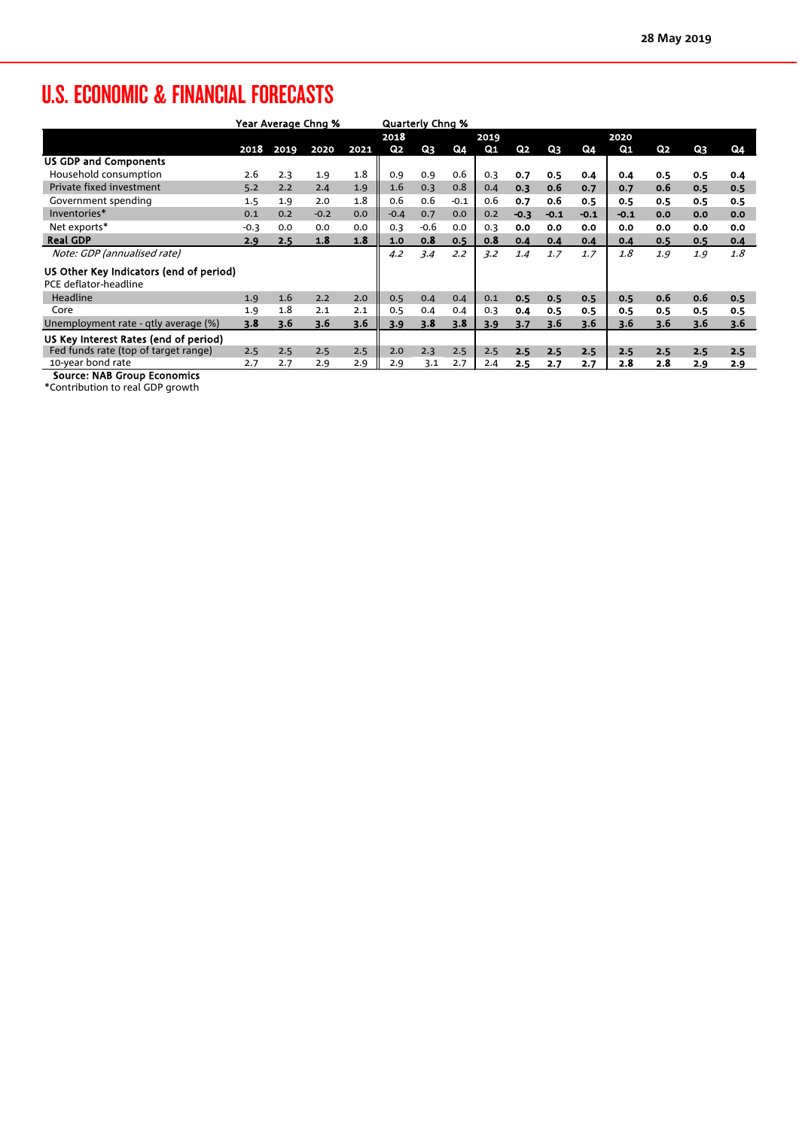# U.S. ECONOMIC & FINANCIAL FORECASTS

|                                         | Year Average Chng % |      |        | <b>Quarterly Chng %</b> |                |        |        |      |                |        |        |                |     |     |     |
|-----------------------------------------|---------------------|------|--------|-------------------------|----------------|--------|--------|------|----------------|--------|--------|----------------|-----|-----|-----|
|                                         |                     |      |        |                         | 2018           |        |        | 2019 |                |        |        | 2020           |     |     |     |
|                                         | 2018                | 2019 | 2020   | 2021                    | Q <sub>2</sub> | Q3     | Q4     | Q1   | Q <sub>2</sub> | Q3     | Q4     | Q <sub>1</sub> | Q2  | Q3  | Q4  |
| <b>US GDP and Components</b>            |                     |      |        |                         |                |        |        |      |                |        |        |                |     |     |     |
| Household consumption                   | 2.6                 | 2.3  | 1.9    | 1.8                     | 0.9            | 0.9    | 0.6    | 0.3  | 0.7            | 0.5    | 0.4    | 0.4            | 0.5 | 0.5 | 0.4 |
| Private fixed investment                | 5.2                 | 2.2  | 2.4    | 1.9                     | 1.6            | 0.3    | 0.8    | 0.4  | 0.3            | 0.6    | 0.7    | 0.7            | 0.6 | 0.5 | 0.5 |
| Government spending                     | 1.5                 | 1.9  | 2.0    | 1.8                     | 0.6            | 0.6    | $-0.1$ | 0.6  | 0.7            | 0.6    | 0.5    | 0.5            | 0.5 | 0.5 | 0.5 |
| Inventories*                            | 0.1                 | 0.2  | $-0.2$ | 0.0                     | $-0.4$         | 0.7    | 0.0    | 0.2  | $-0.3$         | $-0.1$ | $-0.1$ | -0.1           | 0.0 | 0.0 | 0.0 |
| Net exports*                            | $-0.3$              | 0.0  | 0.0    | 0.0                     | 0.3            | $-0.6$ | 0.0    | 0.3  | 0.0            | 0.0    | 0.0    | 0.0            | 0.0 | 0.0 | 0.0 |
| <b>Real GDP</b>                         | 2.9                 | 2.5  | 1.8    | 1.8                     | 1.0            | 0.8    | 0.5    | 0.8  | 0.4            | 0.4    | 0.4    | 0.4            | 0.5 | 0.5 | 0.4 |
| Note: GDP (annualised rate)             |                     |      |        |                         | 4.2            | 3.4    | 2.2    | 3.2  | 1.4            | 1.7    | 1.7    | 1.8            | 1.9 | 1.9 | 1.8 |
| US Other Key Indicators (end of period) |                     |      |        |                         |                |        |        |      |                |        |        |                |     |     |     |
| PCE deflator-headline                   |                     |      |        |                         |                |        |        |      |                |        |        |                |     |     |     |
| Headline                                | 1.9                 | 1.6  | 2.2    | 2.0                     | 0.5            | 0.4    | 0.4    | 0.1  | 0.5            | 0.5    | 0.5    | 0.5            | 0.6 | 0.6 | 0.5 |
| Core                                    | 1.9                 | 1.8  | 2.1    | 2.1                     | 0.5            | 0.4    | 0.4    | 0.3  | 0.4            | 0.5    | 0.5    | 0.5            | 0.5 | 0.5 | 0.5 |
| Unemployment rate - qtly average (%)    | 3.8                 | 3.6  | 3.6    | 3.6                     | 3.9            | 3.8    | 3.8    | 3.9  | 3.7            | 3.6    | 3.6    | 3.6            | 3.6 | 3.6 | 3.6 |
| US Key Interest Rates (end of period)   |                     |      |        |                         |                |        |        |      |                |        |        |                |     |     |     |
| Fed funds rate (top of target range)    | 2.5                 | 2.5  | 2.5    | 2.5                     | 2.0            | 2.3    | 2.5    | 2.5  | 2.5            | 2.5    | 2.5    | 2.5            | 2.5 | 2.5 | 2.5 |
| 10-year bond rate<br>.                  | 2.7                 | 2.7  | 2.9    | 2.9                     | 2.9            | 3.1    | 2.7    | 2.4  | 2.5            | 2.7    | 2.7    | 2.8            | 2.8 | 2.9 | 2.9 |

Source: NAB Group Economics

\*Contribution to real GDP growth